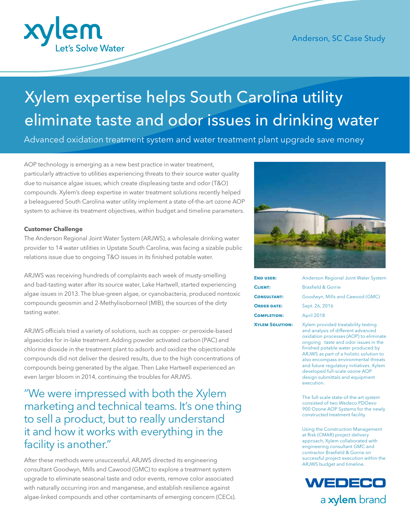

# Xylem expertise helps South Carolina utility eliminate taste and odor issues in drinking water

Advanced oxidation treatment system and water treatment plant upgrade save money

AOP technology is emerging as a new best practice in water treatment, particularly attractive to utilities experiencing threats to their source water quality due to nuisance algae issues, which create displeasing taste and odor (T&O) compounds. Xylem's deep expertise in water treatment solutions recently helped a beleaguered South Carolina water utility implement a state-of-the-art ozone AOP system to achieve its treatment objectives, within budget and timeline parameters.

### **Customer Challenge**

The Anderson Regional Joint Water System (ARJWS), a wholesale drinking water provider to 14 water utilities in Upstate South Carolina, was facing a sizable public relations issue due to ongoing T&O issues in its finished potable water.

ARJWS was receiving hundreds of complaints each week of musty-smelling and bad-tasting water after its source water, Lake Hartwell, started experiencing algae issues in 2013. The blue-green algae, or cyanobacteria, produced nontoxic compounds geosmin and 2-Methylisoborneol (MIB), the sources of the dirty tasting water.

ARJWS officials tried a variety of solutions, such as copper- or peroxide-based algaecides for in-lake treatment. Adding powder activated carbon (PAC) and chlorine dioxide in the treatment plant to adsorb and oxidize the objectionable compounds did not deliver the desired results, due to the high concentrations of compounds being generated by the algae. Then Lake Hartwell experienced an even larger bloom in 2014, continuing the troubles for ARJWS.

"We were impressed with both the Xylem marketing and technical teams. It's one thing to sell a product, but to really understand it and how it works with everything in the facility is another."

After these methods were unsuccessful, ARJWS directed its engineering consultant Goodwyn, Mills and Cawood (GMC) to explore a treatment system upgrade to eliminate seasonal taste and odor events, remove color associated with naturally occurring iron and manganese, and establish resilience against algae-linked compounds and other contaminants of emerging concern (CECs).



| <b>END USER:</b>       | Anderson Regional Joint Water System                                      |
|------------------------|---------------------------------------------------------------------------|
| <b>CLIENT:</b>         | Brasfield & Gorrie                                                        |
| <b>CONSULTANT:</b>     | Goodwyn, Mills and Cawood (GMC)                                           |
| <b>ORDER DATE:</b>     | Sept. 26, 2016                                                            |
| <b>COMPLETION:</b>     | April 2018                                                                |
| <b>XYLEM SOLUTION:</b> | Xylem provided treatability testing<br>and analysis of different advanced |

and analysis of different advanced oxidation processes (AOP) to eliminate ongoing taste and odor issues in the finished potable water produced by ARJWS as part of a holistic solution to also encompass environmental threats and future regulatory initiatives. Xylem developed full-scale ozone AOP design submittals and equipment execution.

The full-scale state-of-the-art system consisted of two Wedeco PDOevo 900 Ozone AOP Systems for the newly constructed treatment facility.

Using the Construction Management at Risk (CMAR) project delivery approach, Xylem collaborated with engineering consultant GMC and contractor Brasfield & Gorrie on successful project execution within the ARJWS budget and timeline.